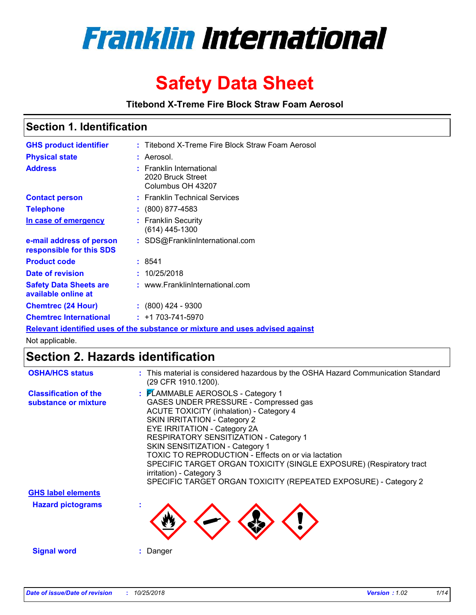

# **Safety Data Sheet**

**Titebond X-Treme Fire Block Straw Foam Aerosol**

### **Section 1. Identification**

| <b>GHS product identifier</b>                                                 | : Titebond X-Treme Fire Block Straw Foam Aerosol                   |  |  |
|-------------------------------------------------------------------------------|--------------------------------------------------------------------|--|--|
|                                                                               |                                                                    |  |  |
| <b>Physical state</b>                                                         | : Aerosol.                                                         |  |  |
| <b>Address</b>                                                                | : Franklin International<br>2020 Bruck Street<br>Columbus OH 43207 |  |  |
| <b>Contact person</b>                                                         | : Franklin Technical Services                                      |  |  |
| <b>Telephone</b>                                                              | $\colon$ (800) 877-4583                                            |  |  |
| <u>In case of emergency</u>                                                   | : Franklin Security<br>$(614)$ 445-1300                            |  |  |
| e-mail address of person<br>responsible for this SDS                          | : SDS@FranklinInternational.com                                    |  |  |
| <b>Product code</b>                                                           | : 8541                                                             |  |  |
| Date of revision                                                              | : 10/25/2018                                                       |  |  |
| <b>Safety Data Sheets are</b><br>available online at                          | : www.FranklinInternational.com                                    |  |  |
| <b>Chemtrec (24 Hour)</b>                                                     | $: (800)$ 424 - 9300                                               |  |  |
| <b>Chemtrec International</b>                                                 | $: +1703 - 741 - 5970$                                             |  |  |
| Relevant identified uses of the substance or mixture and uses advised against |                                                                    |  |  |

Not applicable.

## **Section 2. Hazards identification**

| <b>OSHA/HCS status</b>                               | : This material is considered hazardous by the OSHA Hazard Communication Standard<br>(29 CFR 1910.1200).                                                                                                                                                                                                                                                                                                                                                                                                       |
|------------------------------------------------------|----------------------------------------------------------------------------------------------------------------------------------------------------------------------------------------------------------------------------------------------------------------------------------------------------------------------------------------------------------------------------------------------------------------------------------------------------------------------------------------------------------------|
| <b>Classification of the</b><br>substance or mixture | : FLAMMABLE AEROSOLS - Category 1<br>GASES UNDER PRESSURE - Compressed gas<br><b>ACUTE TOXICITY (inhalation) - Category 4</b><br><b>SKIN IRRITATION - Category 2</b><br>EYE IRRITATION - Category 2A<br>RESPIRATORY SENSITIZATION - Category 1<br>SKIN SENSITIZATION - Category 1<br>TOXIC TO REPRODUCTION - Effects on or via lactation<br>SPECIFIC TARGET ORGAN TOXICITY (SINGLE EXPOSURE) (Respiratory tract<br>irritation) - Category 3<br>SPECIFIC TARGET ORGAN TOXICITY (REPEATED EXPOSURE) - Category 2 |
| <b>GHS label elements</b>                            |                                                                                                                                                                                                                                                                                                                                                                                                                                                                                                                |
| <b>Hazard pictograms</b>                             |                                                                                                                                                                                                                                                                                                                                                                                                                                                                                                                |
| <b>Signal word</b>                                   | : Danger                                                                                                                                                                                                                                                                                                                                                                                                                                                                                                       |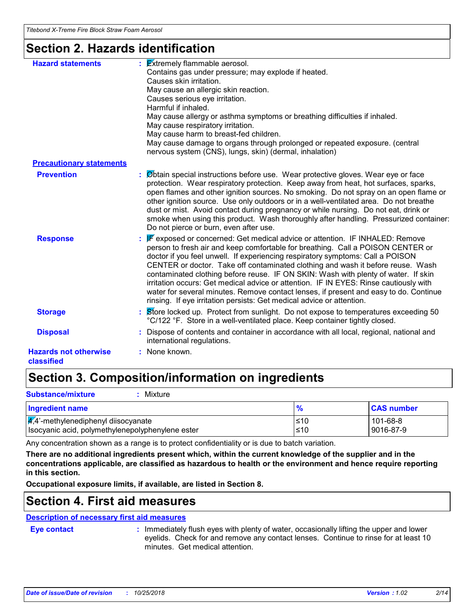### **Section 2. Hazards identification**

| <b>Hazard statements</b>                   | $\frac{1}{2}$ <b>Extremely flammable aerosol.</b><br>Contains gas under pressure; may explode if heated.<br>Causes skin irritation.<br>May cause an allergic skin reaction.<br>Causes serious eye irritation.<br>Harmful if inhaled.<br>May cause allergy or asthma symptoms or breathing difficulties if inhaled.<br>May cause respiratory irritation.<br>May cause harm to breast-fed children.<br>May cause damage to organs through prolonged or repeated exposure. (central<br>nervous system (CNS), lungs, skin) (dermal, inhalation)                                                                                                                                                 |
|--------------------------------------------|---------------------------------------------------------------------------------------------------------------------------------------------------------------------------------------------------------------------------------------------------------------------------------------------------------------------------------------------------------------------------------------------------------------------------------------------------------------------------------------------------------------------------------------------------------------------------------------------------------------------------------------------------------------------------------------------|
| <b>Precautionary statements</b>            |                                                                                                                                                                                                                                                                                                                                                                                                                                                                                                                                                                                                                                                                                             |
| <b>Prevention</b>                          | : Øbtain special instructions before use. Wear protective gloves. Wear eye or face<br>protection. Wear respiratory protection. Keep away from heat, hot surfaces, sparks,<br>open flames and other ignition sources. No smoking. Do not spray on an open flame or<br>other ignition source. Use only outdoors or in a well-ventilated area. Do not breathe<br>dust or mist. Avoid contact during pregnancy or while nursing. Do not eat, drink or<br>smoke when using this product. Wash thoroughly after handling. Pressurized container:<br>Do not pierce or burn, even after use.                                                                                                        |
| <b>Response</b>                            | <b>F</b> exposed or concerned: Get medical advice or attention. IF INHALED: Remove<br>person to fresh air and keep comfortable for breathing. Call a POISON CENTER or<br>doctor if you feel unwell. If experiencing respiratory symptoms: Call a POISON<br>CENTER or doctor. Take off contaminated clothing and wash it before reuse. Wash<br>contaminated clothing before reuse. IF ON SKIN: Wash with plenty of water. If skin<br>irritation occurs: Get medical advice or attention. IF IN EYES: Rinse cautiously with<br>water for several minutes. Remove contact lenses, if present and easy to do. Continue<br>rinsing. If eye irritation persists: Get medical advice or attention. |
| <b>Storage</b>                             | : Store locked up. Protect from sunlight. Do not expose to temperatures exceeding 50<br>°C/122 °F. Store in a well-ventilated place. Keep container tightly closed.                                                                                                                                                                                                                                                                                                                                                                                                                                                                                                                         |
| <b>Disposal</b>                            | Dispose of contents and container in accordance with all local, regional, national and<br>international regulations.                                                                                                                                                                                                                                                                                                                                                                                                                                                                                                                                                                        |
| <b>Hazards not otherwise</b><br>classified | : None known.                                                                                                                                                                                                                                                                                                                                                                                                                                                                                                                                                                                                                                                                               |

## **Section 3. Composition/information on ingredients**

| <b>Substance/mixture</b><br>Mixture                                                                  |                  |                             |  |  |
|------------------------------------------------------------------------------------------------------|------------------|-----------------------------|--|--|
| <b>CAS number</b><br>Ingredient name                                                                 |                  |                             |  |  |
| $\frac{1}{4}$ ,4'-methylenediphenyl diisocyanate<br>Isocyanic acid, polymethylenepolyphenylene ester | $\leq 10$<br>≤10 | $101 - 68 - 8$<br>9016-87-9 |  |  |

Any concentration shown as a range is to protect confidentiality or is due to batch variation.

**There are no additional ingredients present which, within the current knowledge of the supplier and in the concentrations applicable, are classified as hazardous to health or the environment and hence require reporting in this section.**

**Occupational exposure limits, if available, are listed in Section 8.**

### **Section 4. First aid measures**

### **Description of necessary first aid measures**

**Eye contact :**

: Immediately flush eyes with plenty of water, occasionally lifting the upper and lower eyelids. Check for and remove any contact lenses. Continue to rinse for at least 10 minutes. Get medical attention.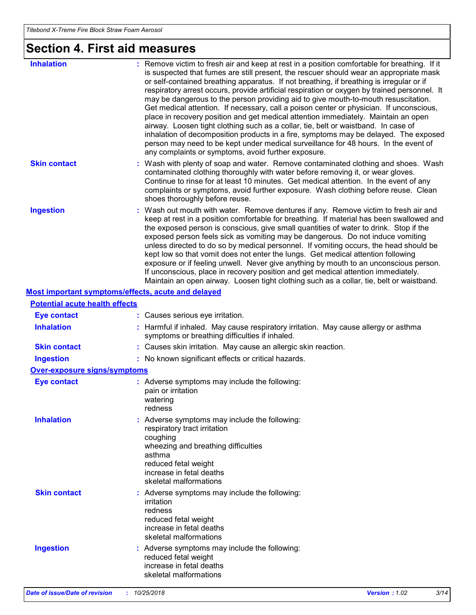# **Section 4. First aid measures**

| <b>Inhalation</b>                                  | : Remove victim to fresh air and keep at rest in a position comfortable for breathing. If it<br>is suspected that fumes are still present, the rescuer should wear an appropriate mask<br>or self-contained breathing apparatus. If not breathing, if breathing is irregular or if<br>respiratory arrest occurs, provide artificial respiration or oxygen by trained personnel. It<br>may be dangerous to the person providing aid to give mouth-to-mouth resuscitation.<br>Get medical attention. If necessary, call a poison center or physician. If unconscious,<br>place in recovery position and get medical attention immediately. Maintain an open<br>airway. Loosen tight clothing such as a collar, tie, belt or waistband. In case of<br>inhalation of decomposition products in a fire, symptoms may be delayed. The exposed<br>person may need to be kept under medical surveillance for 48 hours. In the event of<br>any complaints or symptoms, avoid further exposure. |
|----------------------------------------------------|---------------------------------------------------------------------------------------------------------------------------------------------------------------------------------------------------------------------------------------------------------------------------------------------------------------------------------------------------------------------------------------------------------------------------------------------------------------------------------------------------------------------------------------------------------------------------------------------------------------------------------------------------------------------------------------------------------------------------------------------------------------------------------------------------------------------------------------------------------------------------------------------------------------------------------------------------------------------------------------|
| <b>Skin contact</b>                                | : Wash with plenty of soap and water. Remove contaminated clothing and shoes. Wash<br>contaminated clothing thoroughly with water before removing it, or wear gloves.<br>Continue to rinse for at least 10 minutes. Get medical attention. In the event of any<br>complaints or symptoms, avoid further exposure. Wash clothing before reuse. Clean<br>shoes thoroughly before reuse.                                                                                                                                                                                                                                                                                                                                                                                                                                                                                                                                                                                                 |
| <b>Ingestion</b>                                   | : Wash out mouth with water. Remove dentures if any. Remove victim to fresh air and<br>keep at rest in a position comfortable for breathing. If material has been swallowed and<br>the exposed person is conscious, give small quantities of water to drink. Stop if the<br>exposed person feels sick as vomiting may be dangerous. Do not induce vomiting<br>unless directed to do so by medical personnel. If vomiting occurs, the head should be<br>kept low so that vomit does not enter the lungs. Get medical attention following<br>exposure or if feeling unwell. Never give anything by mouth to an unconscious person.<br>If unconscious, place in recovery position and get medical attention immediately.<br>Maintain an open airway. Loosen tight clothing such as a collar, tie, belt or waistband.                                                                                                                                                                     |
| Most important symptoms/effects, acute and delayed |                                                                                                                                                                                                                                                                                                                                                                                                                                                                                                                                                                                                                                                                                                                                                                                                                                                                                                                                                                                       |
| <b>Potential acute health effects</b>              |                                                                                                                                                                                                                                                                                                                                                                                                                                                                                                                                                                                                                                                                                                                                                                                                                                                                                                                                                                                       |
| <b>Eye contact</b>                                 | : Causes serious eye irritation.                                                                                                                                                                                                                                                                                                                                                                                                                                                                                                                                                                                                                                                                                                                                                                                                                                                                                                                                                      |
| <b>Inhalation</b>                                  | : Harmful if inhaled. May cause respiratory irritation. May cause allergy or asthma<br>symptoms or breathing difficulties if inhaled.                                                                                                                                                                                                                                                                                                                                                                                                                                                                                                                                                                                                                                                                                                                                                                                                                                                 |
| <b>Skin contact</b>                                | : Causes skin irritation. May cause an allergic skin reaction.                                                                                                                                                                                                                                                                                                                                                                                                                                                                                                                                                                                                                                                                                                                                                                                                                                                                                                                        |
| <b>Ingestion</b>                                   | : No known significant effects or critical hazards.                                                                                                                                                                                                                                                                                                                                                                                                                                                                                                                                                                                                                                                                                                                                                                                                                                                                                                                                   |
| <b>Over-exposure signs/symptoms</b>                |                                                                                                                                                                                                                                                                                                                                                                                                                                                                                                                                                                                                                                                                                                                                                                                                                                                                                                                                                                                       |
| <b>Eye contact</b>                                 | : Adverse symptoms may include the following:<br>pain or irritation<br>watering<br>redness                                                                                                                                                                                                                                                                                                                                                                                                                                                                                                                                                                                                                                                                                                                                                                                                                                                                                            |
| <b>Inhalation</b>                                  | : Adverse symptoms may include the following:<br>respiratory tract irritation<br>coughing<br>wheezing and breathing difficulties<br>asthma<br>reduced fetal weight<br>increase in fetal deaths<br>skeletal malformations                                                                                                                                                                                                                                                                                                                                                                                                                                                                                                                                                                                                                                                                                                                                                              |
| <b>Skin contact</b>                                | : Adverse symptoms may include the following:<br>irritation<br>redness<br>reduced fetal weight<br>increase in fetal deaths<br>skeletal malformations                                                                                                                                                                                                                                                                                                                                                                                                                                                                                                                                                                                                                                                                                                                                                                                                                                  |
| <b>Ingestion</b>                                   | : Adverse symptoms may include the following:<br>reduced fetal weight<br>increase in fetal deaths<br>skeletal malformations                                                                                                                                                                                                                                                                                                                                                                                                                                                                                                                                                                                                                                                                                                                                                                                                                                                           |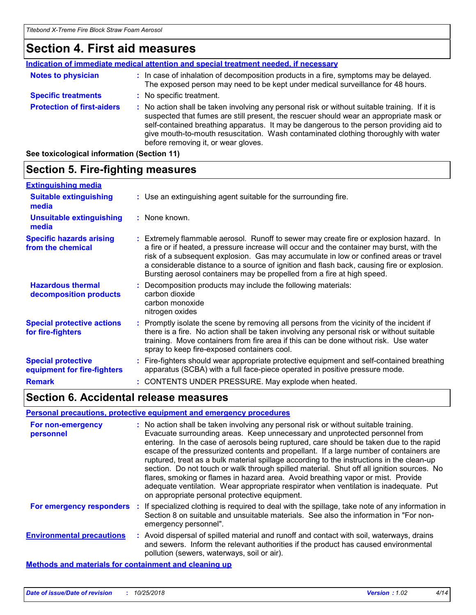### **Section 4. First aid measures**

|                                   | Indication of immediate medical attention and special treatment needed, if necessary                                                                                                                                                                                                                                                                                                                            |
|-----------------------------------|-----------------------------------------------------------------------------------------------------------------------------------------------------------------------------------------------------------------------------------------------------------------------------------------------------------------------------------------------------------------------------------------------------------------|
| <b>Notes to physician</b>         | : In case of inhalation of decomposition products in a fire, symptoms may be delayed.<br>The exposed person may need to be kept under medical surveillance for 48 hours.                                                                                                                                                                                                                                        |
| <b>Specific treatments</b>        | : No specific treatment.                                                                                                                                                                                                                                                                                                                                                                                        |
| <b>Protection of first-aiders</b> | : No action shall be taken involving any personal risk or without suitable training. If it is<br>suspected that fumes are still present, the rescuer should wear an appropriate mask or<br>self-contained breathing apparatus. It may be dangerous to the person providing aid to<br>give mouth-to-mouth resuscitation. Wash contaminated clothing thoroughly with water<br>before removing it, or wear gloves. |

**See toxicological information (Section 11)**

#### **Section 5. Fire-fighting measures :** Promptly isolate the scene by removing all persons from the vicinity of the incident if there is a fire. No action shall be taken involving any personal risk or without suitable training. Move containers from fire area if this can be done without risk. Use water spray to keep fire-exposed containers cool. **Hazardous thermal decomposition products Specific hazards arising from the chemical** Decomposition products may include the following materials: **:** carbon dioxide carbon monoxide nitrogen oxides Extremely flammable aerosol. Runoff to sewer may create fire or explosion hazard. In **:** a fire or if heated, a pressure increase will occur and the container may burst, with the risk of a subsequent explosion. Gas may accumulate in low or confined areas or travel a considerable distance to a source of ignition and flash back, causing fire or explosion. Bursting aerosol containers may be propelled from a fire at high speed. Fire-fighters should wear appropriate protective equipment and self-contained breathing **:** apparatus (SCBA) with a full face-piece operated in positive pressure mode. **Special protective equipment for fire-fighters** Use an extinguishing agent suitable for the surrounding fire. **: Extinguishing media Remark :** CONTENTS UNDER PRESSURE. May explode when heated. **:** None known. **Suitable extinguishing media Unsuitable extinguishing media Special protective actions for fire-fighters**

### **Section 6. Accidental release measures**

#### **Personal precautions, protective equipment and emergency procedures**

| For non-emergency<br>personnel                        | : No action shall be taken involving any personal risk or without suitable training.<br>Evacuate surrounding areas. Keep unnecessary and unprotected personnel from<br>entering. In the case of aerosols being ruptured, care should be taken due to the rapid<br>escape of the pressurized contents and propellant. If a large number of containers are<br>ruptured, treat as a bulk material spillage according to the instructions in the clean-up<br>section. Do not touch or walk through spilled material. Shut off all ignition sources. No<br>flares, smoking or flames in hazard area. Avoid breathing vapor or mist. Provide<br>adequate ventilation. Wear appropriate respirator when ventilation is inadequate. Put<br>on appropriate personal protective equipment. |
|-------------------------------------------------------|----------------------------------------------------------------------------------------------------------------------------------------------------------------------------------------------------------------------------------------------------------------------------------------------------------------------------------------------------------------------------------------------------------------------------------------------------------------------------------------------------------------------------------------------------------------------------------------------------------------------------------------------------------------------------------------------------------------------------------------------------------------------------------|
| For emergency responders                              | : If specialized clothing is required to deal with the spillage, take note of any information in<br>Section 8 on suitable and unsuitable materials. See also the information in "For non-<br>emergency personnel".                                                                                                                                                                                                                                                                                                                                                                                                                                                                                                                                                               |
| <b>Environmental precautions</b>                      | : Avoid dispersal of spilled material and runoff and contact with soil, waterways, drains<br>and sewers. Inform the relevant authorities if the product has caused environmental<br>pollution (sewers, waterways, soil or air).                                                                                                                                                                                                                                                                                                                                                                                                                                                                                                                                                  |
| Methods and materials for containment and cleaning up |                                                                                                                                                                                                                                                                                                                                                                                                                                                                                                                                                                                                                                                                                                                                                                                  |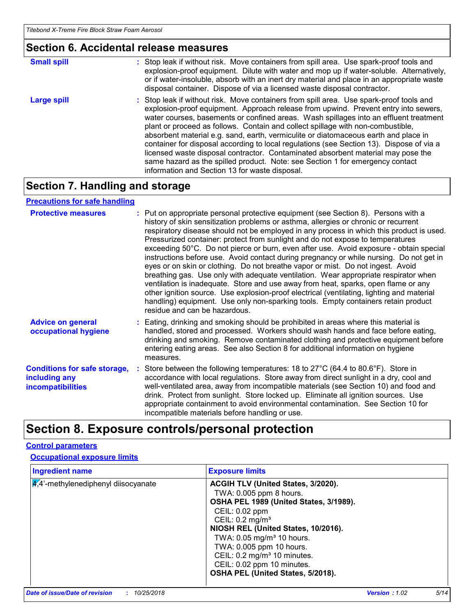### **Section 6. Accidental release measures**

| <b>Small spill</b> | : Stop leak if without risk. Move containers from spill area. Use spark-proof tools and<br>explosion-proof equipment. Dilute with water and mop up if water-soluble. Alternatively,<br>or if water-insoluble, absorb with an inert dry material and place in an appropriate waste<br>disposal container. Dispose of via a licensed waste disposal contractor.                                                                                                                                                                                                                                                                                                                                                                                                        |
|--------------------|----------------------------------------------------------------------------------------------------------------------------------------------------------------------------------------------------------------------------------------------------------------------------------------------------------------------------------------------------------------------------------------------------------------------------------------------------------------------------------------------------------------------------------------------------------------------------------------------------------------------------------------------------------------------------------------------------------------------------------------------------------------------|
| <b>Large spill</b> | : Stop leak if without risk. Move containers from spill area. Use spark-proof tools and<br>explosion-proof equipment. Approach release from upwind. Prevent entry into sewers,<br>water courses, basements or confined areas. Wash spillages into an effluent treatment<br>plant or proceed as follows. Contain and collect spillage with non-combustible,<br>absorbent material e.g. sand, earth, vermiculite or diatomaceous earth and place in<br>container for disposal according to local regulations (see Section 13). Dispose of via a<br>licensed waste disposal contractor. Contaminated absorbent material may pose the<br>same hazard as the spilled product. Note: see Section 1 for emergency contact<br>information and Section 13 for waste disposal. |

## **Section 7. Handling and storage**

### **Precautions for safe handling**

| <b>Protective measures</b>                                                       | : Put on appropriate personal protective equipment (see Section 8). Persons with a<br>history of skin sensitization problems or asthma, allergies or chronic or recurrent<br>respiratory disease should not be employed in any process in which this product is used.<br>Pressurized container: protect from sunlight and do not expose to temperatures<br>exceeding 50°C. Do not pierce or burn, even after use. Avoid exposure - obtain special<br>instructions before use. Avoid contact during pregnancy or while nursing. Do not get in<br>eyes or on skin or clothing. Do not breathe vapor or mist. Do not ingest. Avoid<br>breathing gas. Use only with adequate ventilation. Wear appropriate respirator when<br>ventilation is inadequate. Store and use away from heat, sparks, open flame or any<br>other ignition source. Use explosion-proof electrical (ventilating, lighting and material<br>handling) equipment. Use only non-sparking tools. Empty containers retain product<br>residue and can be hazardous. |
|----------------------------------------------------------------------------------|---------------------------------------------------------------------------------------------------------------------------------------------------------------------------------------------------------------------------------------------------------------------------------------------------------------------------------------------------------------------------------------------------------------------------------------------------------------------------------------------------------------------------------------------------------------------------------------------------------------------------------------------------------------------------------------------------------------------------------------------------------------------------------------------------------------------------------------------------------------------------------------------------------------------------------------------------------------------------------------------------------------------------------|
| <b>Advice on general</b><br>occupational hygiene                                 | : Eating, drinking and smoking should be prohibited in areas where this material is<br>handled, stored and processed. Workers should wash hands and face before eating,<br>drinking and smoking. Remove contaminated clothing and protective equipment before<br>entering eating areas. See also Section 8 for additional information on hygiene<br>measures.                                                                                                                                                                                                                                                                                                                                                                                                                                                                                                                                                                                                                                                                   |
| <b>Conditions for safe storage,</b><br>including any<br><b>incompatibilities</b> | : Store between the following temperatures: 18 to 27°C (64.4 to 80.6°F). Store in<br>accordance with local regulations. Store away from direct sunlight in a dry, cool and<br>well-ventilated area, away from incompatible materials (see Section 10) and food and<br>drink. Protect from sunlight. Store locked up. Eliminate all ignition sources. Use<br>appropriate containment to avoid environmental contamination. See Section 10 for<br>incompatible materials before handling or use.                                                                                                                                                                                                                                                                                                                                                                                                                                                                                                                                  |

## **Section 8. Exposure controls/personal protection**

### **Control parameters**

### **Occupational exposure limits**

| <b>Ingredient name</b>              | <b>Exposure limits</b>                                                                                                                                                                                                                                                                                                                        |
|-------------------------------------|-----------------------------------------------------------------------------------------------------------------------------------------------------------------------------------------------------------------------------------------------------------------------------------------------------------------------------------------------|
| 4,4'-methylenediphenyl diisocyanate | ACGIH TLV (United States, 3/2020).<br>TWA: 0.005 ppm 8 hours.<br>OSHA PEL 1989 (United States, 3/1989).<br>CEIL: 0.02 ppm<br>CEIL: 0.2 mg/m <sup>3</sup><br>NIOSH REL (United States, 10/2016).<br>TWA: 0.05 mg/m <sup>3</sup> 10 hours.<br>TWA: 0.005 ppm 10 hours.<br>CEIL: 0.2 mg/m <sup>3</sup> 10 minutes.<br>CEIL: 0.02 ppm 10 minutes. |
|                                     | OSHA PEL (United States, 5/2018).                                                                                                                                                                                                                                                                                                             |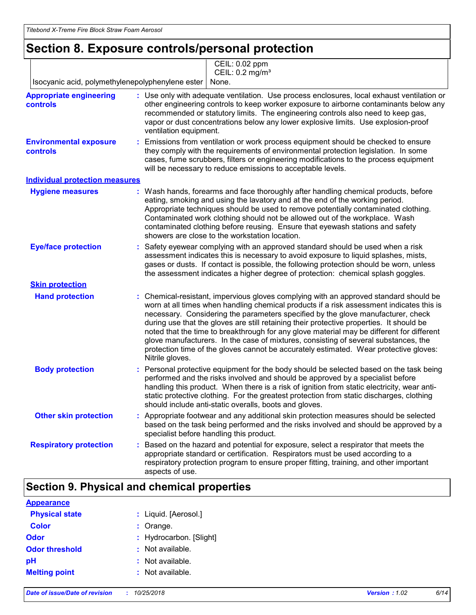## **Section 8. Exposure controls/personal protection**

|                                                  | CEIL: 0.02 ppm<br>CEIL: 0.2 mg/m <sup>3</sup>                                                                                                                                                                                                                                                                                                                                                                                                                                                                                                                                                                                                                   |
|--------------------------------------------------|-----------------------------------------------------------------------------------------------------------------------------------------------------------------------------------------------------------------------------------------------------------------------------------------------------------------------------------------------------------------------------------------------------------------------------------------------------------------------------------------------------------------------------------------------------------------------------------------------------------------------------------------------------------------|
| Isocyanic acid, polymethylenepolyphenylene ester | None.                                                                                                                                                                                                                                                                                                                                                                                                                                                                                                                                                                                                                                                           |
| <b>Appropriate engineering</b><br>controls       | : Use only with adequate ventilation. Use process enclosures, local exhaust ventilation or<br>other engineering controls to keep worker exposure to airborne contaminants below any<br>recommended or statutory limits. The engineering controls also need to keep gas,<br>vapor or dust concentrations below any lower explosive limits. Use explosion-proof<br>ventilation equipment.                                                                                                                                                                                                                                                                         |
| <b>Environmental exposure</b><br>controls        | Emissions from ventilation or work process equipment should be checked to ensure<br>they comply with the requirements of environmental protection legislation. In some<br>cases, fume scrubbers, filters or engineering modifications to the process equipment<br>will be necessary to reduce emissions to acceptable levels.                                                                                                                                                                                                                                                                                                                                   |
| <b>Individual protection measures</b>            |                                                                                                                                                                                                                                                                                                                                                                                                                                                                                                                                                                                                                                                                 |
| <b>Hygiene measures</b>                          | : Wash hands, forearms and face thoroughly after handling chemical products, before<br>eating, smoking and using the lavatory and at the end of the working period.<br>Appropriate techniques should be used to remove potentially contaminated clothing.<br>Contaminated work clothing should not be allowed out of the workplace. Wash<br>contaminated clothing before reusing. Ensure that eyewash stations and safety<br>showers are close to the workstation location.                                                                                                                                                                                     |
| <b>Eye/face protection</b>                       | Safety eyewear complying with an approved standard should be used when a risk<br>assessment indicates this is necessary to avoid exposure to liquid splashes, mists,<br>gases or dusts. If contact is possible, the following protection should be worn, unless<br>the assessment indicates a higher degree of protection: chemical splash goggles.                                                                                                                                                                                                                                                                                                             |
| <b>Skin protection</b>                           |                                                                                                                                                                                                                                                                                                                                                                                                                                                                                                                                                                                                                                                                 |
| <b>Hand protection</b>                           | Chemical-resistant, impervious gloves complying with an approved standard should be<br>worn at all times when handling chemical products if a risk assessment indicates this is<br>necessary. Considering the parameters specified by the glove manufacturer, check<br>during use that the gloves are still retaining their protective properties. It should be<br>noted that the time to breakthrough for any glove material may be different for different<br>glove manufacturers. In the case of mixtures, consisting of several substances, the<br>protection time of the gloves cannot be accurately estimated. Wear protective gloves:<br>Nitrile gloves. |
| <b>Body protection</b>                           | Personal protective equipment for the body should be selected based on the task being<br>performed and the risks involved and should be approved by a specialist before<br>handling this product. When there is a risk of ignition from static electricity, wear anti-<br>static protective clothing. For the greatest protection from static discharges, clothing<br>should include anti-static overalls, boots and gloves.                                                                                                                                                                                                                                    |
| <b>Other skin protection</b>                     | : Appropriate footwear and any additional skin protection measures should be selected<br>based on the task being performed and the risks involved and should be approved by a<br>specialist before handling this product.                                                                                                                                                                                                                                                                                                                                                                                                                                       |
| <b>Respiratory protection</b>                    | Based on the hazard and potential for exposure, select a respirator that meets the<br>appropriate standard or certification. Respirators must be used according to a<br>respiratory protection program to ensure proper fitting, training, and other important<br>aspects of use.                                                                                                                                                                                                                                                                                                                                                                               |

### **Section 9. Physical and chemical properties**

| <b>Appearance</b>     |                         |
|-----------------------|-------------------------|
| <b>Physical state</b> | : Liquid. [Aerosol.]    |
| <b>Color</b>          | $:$ Orange.             |
| Odor                  | : Hydrocarbon. [Slight] |
| <b>Odor threshold</b> | : Not available.        |
| pH                    | : Not available.        |
| <b>Melting point</b>  | : Not available.        |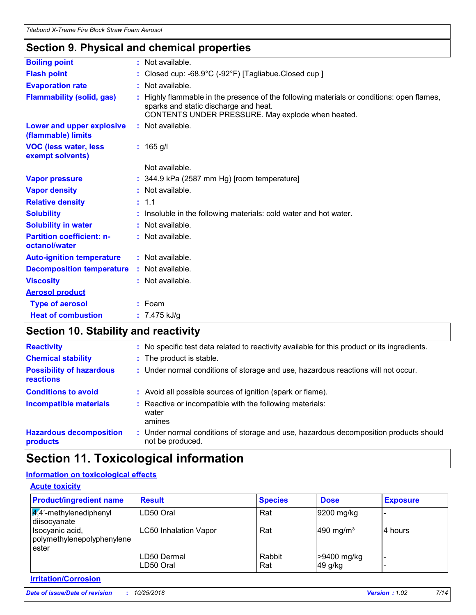### **Section 9. Physical and chemical properties**

| <b>Boiling point</b>                              | : Not available.                                                                                                                                                                      |
|---------------------------------------------------|---------------------------------------------------------------------------------------------------------------------------------------------------------------------------------------|
| <b>Flash point</b>                                | : Closed cup: $-68.9^{\circ}$ C ( $-92^{\circ}$ F) [Tagliabue.Closed cup ]                                                                                                            |
| <b>Evaporation rate</b>                           | : Not available.                                                                                                                                                                      |
| <b>Flammability (solid, gas)</b>                  | Highly flammable in the presence of the following materials or conditions: open flames,<br>sparks and static discharge and heat.<br>CONTENTS UNDER PRESSURE. May explode when heated. |
| Lower and upper explosive<br>(flammable) limits   | : Not available.                                                                                                                                                                      |
| <b>VOC (less water, less)</b><br>exempt solvents) | $: 165$ g/l                                                                                                                                                                           |
|                                                   | Not available.                                                                                                                                                                        |
| <b>Vapor pressure</b>                             | $: 344.9$ kPa (2587 mm Hg) [room temperature]                                                                                                                                         |
| <b>Vapor density</b>                              | : Not available.                                                                                                                                                                      |
| <b>Relative density</b>                           | : 1.1                                                                                                                                                                                 |
| <b>Solubility</b>                                 | : Insoluble in the following materials: cold water and hot water.                                                                                                                     |
| <b>Solubility in water</b>                        | : Not available.                                                                                                                                                                      |
| <b>Partition coefficient: n-</b><br>octanol/water | : Not available.                                                                                                                                                                      |
| <b>Auto-ignition temperature</b>                  | : Not available.                                                                                                                                                                      |
| <b>Decomposition temperature</b>                  | : Not available.                                                                                                                                                                      |
| <b>Viscosity</b>                                  | : Not available.                                                                                                                                                                      |
| <b>Aerosol product</b>                            |                                                                                                                                                                                       |
| <b>Type of aerosol</b>                            | $:$ Foam                                                                                                                                                                              |
| <b>Heat of combustion</b>                         | : $7.475$ kJ/g                                                                                                                                                                        |
|                                                   |                                                                                                                                                                                       |

## **Section 10. Stability and reactivity**

| <b>Reactivity</b>                                   | : No specific test data related to reactivity available for this product or its ingredients.              |
|-----------------------------------------------------|-----------------------------------------------------------------------------------------------------------|
| <b>Chemical stability</b>                           | : The product is stable.                                                                                  |
| <b>Possibility of hazardous</b><br><b>reactions</b> | : Under normal conditions of storage and use, hazardous reactions will not occur.                         |
| <b>Conditions to avoid</b>                          | : Avoid all possible sources of ignition (spark or flame).                                                |
| <b>Incompatible materials</b>                       | : Reactive or incompatible with the following materials:<br>water<br>amines                               |
| <b>Hazardous decomposition</b><br>products          | : Under normal conditions of storage and use, hazardous decomposition products should<br>not be produced. |

## **Section 11. Toxicological information**

### **Information on toxicological effects**

| <b>Acute toxicity</b>                                      |                           |                |                        |                 |
|------------------------------------------------------------|---------------------------|----------------|------------------------|-----------------|
| <b>Product/ingredient name</b>                             | <b>Result</b>             | <b>Species</b> | <b>Dose</b>            | <b>Exposure</b> |
| $\sqrt{4}$ <sup>2</sup> -methylenediphenyl<br>diisocyanate | LD50 Oral                 | Rat            | 9200 mg/kg             |                 |
| Isocyanic acid,<br>polymethylenepolyphenylene<br>ester     | LC50 Inhalation Vapor     | Rat            | 490 mg/m <sup>3</sup>  | 4 hours         |
|                                                            | LD50 Dermal<br>ILD50 Oral | Rabbit<br>Rat  | >9400 mg/kg<br>49 g/kg |                 |

### **Irritation/Corrosion**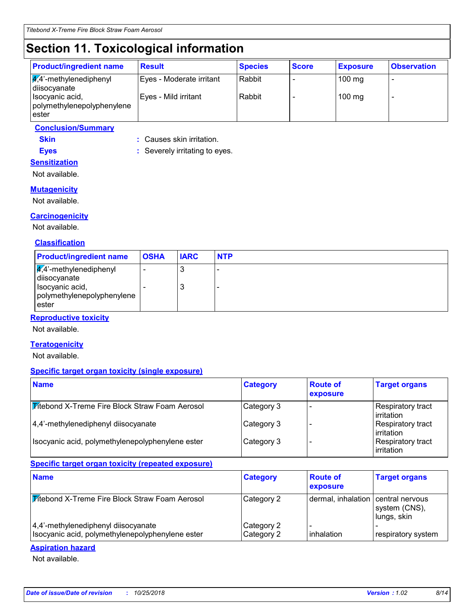## **Section 11. Toxicological information**

**Eyes :** Severely irritating to eyes.

| <b>Product/ingredient name</b>                          | <b>Result</b>            | <b>Species</b> | <b>Score</b> | <b>Exposure</b>  | <b>Observation</b>       |
|---------------------------------------------------------|--------------------------|----------------|--------------|------------------|--------------------------|
| $\frac{1}{4}$ ,4'-methylenediphenyl<br>diisocyanate     | Eyes - Moderate irritant | Rabbit         |              | $100 \text{ mg}$ | $\overline{\phantom{0}}$ |
| Isocyanic acid,<br>polymethylenepolyphenylene<br>lester | Eyes - Mild irritant     | Rabbit         |              | $100$ mg         |                          |

### **Conclusion/Summary**

**Skin :** Causes skin irritation.

**Sensitization**

Not available.

### **Mutagenicity**

Not available.

### **Carcinogenicity**

Not available.

### **Classification**

| <b>Product/ingredient name</b>                                                                                       | <b>OSHA</b> | <b>IARC</b> | <b>NTP</b> |
|----------------------------------------------------------------------------------------------------------------------|-------------|-------------|------------|
| $\sqrt{4}$ <sup>2</sup> -methylenediphenyl<br>diisocyanate<br>Isocyanic acid,<br>polymethylenepolyphenylene<br>ester |             | J<br>ر،     | -<br>-     |

### **Reproductive toxicity**

Not available.

#### **Teratogenicity**

Not available.

#### **Specific target organ toxicity (single exposure)**

| <b>Name</b>                                           | <b>Category</b> | <b>Route of</b><br>exposure | <b>Target organs</b>                    |
|-------------------------------------------------------|-----------------|-----------------------------|-----------------------------------------|
| <b>Titebond X-Treme Fire Block Straw Foam Aerosol</b> | Category 3      |                             | Respiratory tract<br>l irritation       |
| 4,4'-methylenediphenyl diisocyanate                   | Category 3      |                             | Respiratory tract<br>l irritation       |
| Isocyanic acid, polymethylenepolyphenylene ester      | Category 3      |                             | Respiratory tract<br><b>lirritation</b> |

### **Specific target organ toxicity (repeated exposure)**

| <b>Name</b>                                                                             | <b>Category</b>          | <b>Route of</b><br>exposure        | <b>Target organs</b>         |
|-----------------------------------------------------------------------------------------|--------------------------|------------------------------------|------------------------------|
| <b>Fitebond X-Treme Fire Block Straw Foam Aerosol</b>                                   | Category 2               | dermal, inhalation central nervous | system (CNS),<br>lungs, skin |
| 4,4'-methylenediphenyl diisocyanate<br>Isocyanic acid, polymethylenepolyphenylene ester | Category 2<br>Category 2 | inhalation                         | respiratory system           |

#### **Aspiration hazard**

Not available.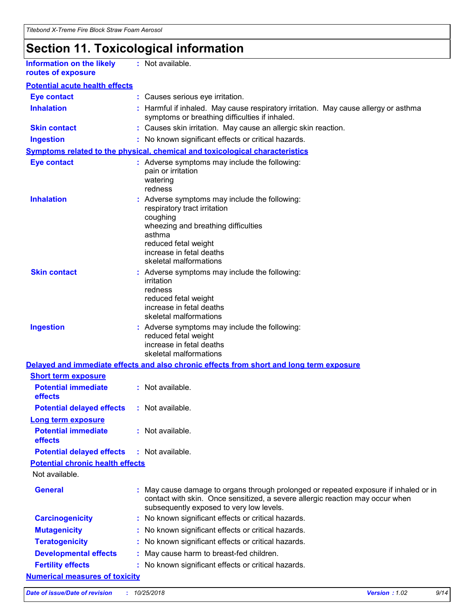## **Section 11. Toxicological information**

| <b>Information on the likely</b> |  |
|----------------------------------|--|
| routes of exposure               |  |

**:** Not available.

| <b>Eye contact</b>                                                  |    | : Causes serious eye irritation.                                                                                                                                                                                         |
|---------------------------------------------------------------------|----|--------------------------------------------------------------------------------------------------------------------------------------------------------------------------------------------------------------------------|
| <b>Inhalation</b>                                                   |    | Harmful if inhaled. May cause respiratory irritation. May cause allergy or asthma<br>symptoms or breathing difficulties if inhaled.                                                                                      |
| <b>Skin contact</b>                                                 |    | : Causes skin irritation. May cause an allergic skin reaction.                                                                                                                                                           |
| <b>Ingestion</b>                                                    |    | : No known significant effects or critical hazards.                                                                                                                                                                      |
|                                                                     |    | <b>Symptoms related to the physical, chemical and toxicological characteristics</b>                                                                                                                                      |
| <b>Eye contact</b>                                                  |    | : Adverse symptoms may include the following:<br>pain or irritation<br>watering<br>redness                                                                                                                               |
| <b>Inhalation</b>                                                   |    | : Adverse symptoms may include the following:<br>respiratory tract irritation<br>coughing<br>wheezing and breathing difficulties<br>asthma<br>reduced fetal weight<br>increase in fetal deaths<br>skeletal malformations |
| <b>Skin contact</b>                                                 |    | Adverse symptoms may include the following:<br>irritation<br>redness<br>reduced fetal weight<br>increase in fetal deaths<br>skeletal malformations                                                                       |
| <b>Ingestion</b>                                                    |    | : Adverse symptoms may include the following:<br>reduced fetal weight<br>increase in fetal deaths<br>skeletal malformations                                                                                              |
|                                                                     |    | Delayed and immediate effects and also chronic effects from short and long term exposure                                                                                                                                 |
| <b>Short term exposure</b><br><b>Potential immediate</b><br>effects |    | $:$ Not available.                                                                                                                                                                                                       |
| <b>Potential delayed effects</b>                                    |    | : Not available.                                                                                                                                                                                                         |
| <b>Long term exposure</b>                                           |    |                                                                                                                                                                                                                          |
| <b>Potential immediate</b><br><b>effects</b>                        |    | : Not available.                                                                                                                                                                                                         |
| <b>Potential delayed effects</b>                                    |    | : Not available.                                                                                                                                                                                                         |
| <b>Potential chronic health effects</b>                             |    |                                                                                                                                                                                                                          |
| Not available.                                                      |    |                                                                                                                                                                                                                          |
| <b>General</b>                                                      |    | : May cause damage to organs through prolonged or repeated exposure if inhaled or in<br>contact with skin. Once sensitized, a severe allergic reaction may occur when<br>subsequently exposed to very low levels.        |
| <b>Carcinogenicity</b>                                              |    | : No known significant effects or critical hazards.                                                                                                                                                                      |
| <b>Mutagenicity</b>                                                 | ÷. | No known significant effects or critical hazards.                                                                                                                                                                        |
| <b>Teratogenicity</b>                                               |    | No known significant effects or critical hazards.                                                                                                                                                                        |
| <b>Developmental effects</b>                                        |    | May cause harm to breast-fed children.                                                                                                                                                                                   |
| <b>Fertility effects</b>                                            |    | : No known significant effects or critical hazards.                                                                                                                                                                      |
| <b>Numerical measures of toxicity</b>                               |    |                                                                                                                                                                                                                          |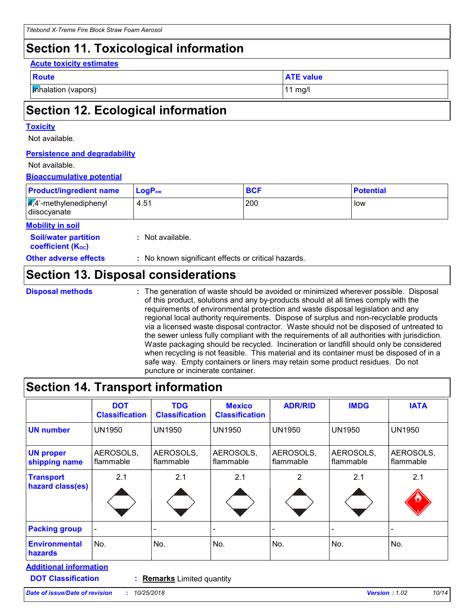## **Section 11. Toxicological information**

#### **Acute toxicity estimates**

| <br>× | -- |
|-------|----|

**Inhalation (vapors)** 11 mg/l

**ATE value** 

## **Section 12. Ecological information**

#### **Toxicity**

Not available.

### **Persistence and degradability**

#### Not available.

### **Bioaccumulative potential**

| <b>Product/ingredient name</b>                             | $LogP_{ow}$      | <b>BCF</b> | <b>Potential</b> |
|------------------------------------------------------------|------------------|------------|------------------|
| $\sqrt{4}$ <sup>2</sup> -methylenediphenyl<br>diisocyanate | 4.51             | 200        | low              |
| <b>Mobility in soil</b>                                    |                  |            |                  |
| <b>Soil/water partition</b><br><b>coefficient (Koc)</b>    | : Not available. |            |                  |

**Other adverse effects :** No known significant effects or critical hazards.

### **Section 13. Disposal considerations**

**Disposal methods :**

The generation of waste should be avoided or minimized wherever possible. Disposal of this product, solutions and any by-products should at all times comply with the requirements of environmental protection and waste disposal legislation and any regional local authority requirements. Dispose of surplus and non-recyclable products via a licensed waste disposal contractor. Waste should not be disposed of untreated to the sewer unless fully compliant with the requirements of all authorities with jurisdiction. Waste packaging should be recycled. Incineration or landfill should only be considered when recycling is not feasible. This material and its container must be disposed of in a safe way. Empty containers or liners may retain some product residues. Do not puncture or incinerate container.

### **Section 14. Transport information**

| <b>DOT</b><br><b>Classification</b> | <b>TDG</b><br><b>Classification</b> | <b>Mexico</b><br><b>Classification</b> | <b>ADR/RID</b>         | <b>IMDG</b>            | <b>IATA</b>            |
|-------------------------------------|-------------------------------------|----------------------------------------|------------------------|------------------------|------------------------|
| <b>UN1950</b>                       | <b>UN1950</b>                       | <b>UN1950</b>                          | <b>UN1950</b>          | <b>UN1950</b>          | <b>UN1950</b>          |
| AEROSOLS,<br>flammable              | AEROSOLS,<br>flammable              | AEROSOLS,<br>flammable                 | AEROSOLS,<br>flammable | AEROSOLS,<br>flammable | AEROSOLS,<br>flammable |
| 2.1                                 | 2.1                                 | 2.1                                    | 2                      | 2.1                    | 2.1                    |
|                                     |                                     |                                        |                        | -                      |                        |
| No.                                 | No.                                 | No.                                    | No.                    | No.                    | No.                    |
|                                     |                                     |                                        |                        |                        |                        |

**DOT Classification :**

**Remarks** Limited quantity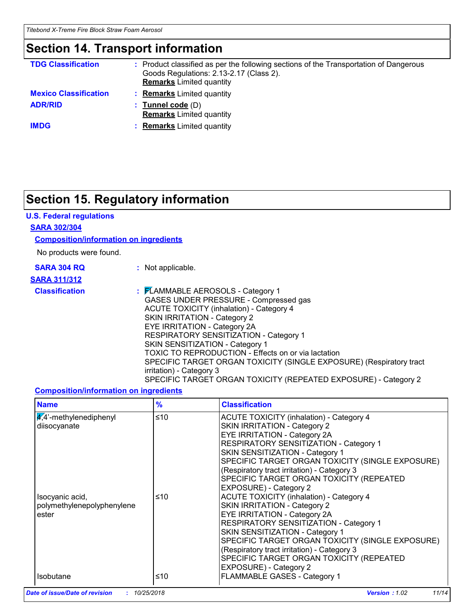### **Section 14. Transport information**

| <b>TDG Classification</b>    | : Product classified as per the following sections of the Transportation of Dangerous<br>Goods Regulations: 2.13-2.17 (Class 2).<br><b>Remarks</b> Limited quantity |
|------------------------------|---------------------------------------------------------------------------------------------------------------------------------------------------------------------|
| <b>Mexico Classification</b> | <b>Remarks</b> Limited quantity                                                                                                                                     |
| <b>ADR/RID</b>               | $:$ Tunnel code $(D)$<br><b>Remarks</b> Limited quantity                                                                                                            |
| <b>IMDG</b>                  | <b>Remarks</b> Limited quantity                                                                                                                                     |

## **Section 15. Regulatory information**

### **U.S. Federal regulations**

#### **SARA 302/304**

#### **Composition/information on ingredients**

No products were found.

|  | <b>SARA 304 RQ</b> |  |
|--|--------------------|--|
|  |                    |  |

**:** Not applicable.

### **SARA 311/312**

**Classification :** FLAMMABLE AEROSOLS - Category 1 GASES UNDER PRESSURE - Compressed gas ACUTE TOXICITY (inhalation) - Category 4 SKIN IRRITATION - Category 2 EYE IRRITATION - Category 2A RESPIRATORY SENSITIZATION - Category 1 SKIN SENSITIZATION - Category 1 TOXIC TO REPRODUCTION - Effects on or via lactation SPECIFIC TARGET ORGAN TOXICITY (SINGLE EXPOSURE) (Respiratory tract irritation) - Category 3 SPECIFIC TARGET ORGAN TOXICITY (REPEATED EXPOSURE) - Category 2

### **Composition/information on ingredients**

| <b>Name</b>                                            | $\frac{9}{6}$ | <b>Classification</b>                                                                                                                                                                                                                                                                                                                                                        |
|--------------------------------------------------------|---------------|------------------------------------------------------------------------------------------------------------------------------------------------------------------------------------------------------------------------------------------------------------------------------------------------------------------------------------------------------------------------------|
| $\frac{4}{4}$ -methylenediphenyl<br>diisocyanate       | ≤10           | <b>ACUTE TOXICITY (inhalation) - Category 4</b><br>SKIN IRRITATION - Category 2<br><b>EYE IRRITATION - Category 2A</b><br>RESPIRATORY SENSITIZATION - Category 1<br>SKIN SENSITIZATION - Category 1<br>SPECIFIC TARGET ORGAN TOXICITY (SINGLE EXPOSURE)<br>(Respiratory tract irritation) - Category 3<br>SPECIFIC TARGET ORGAN TOXICITY (REPEATED<br>EXPOSURE) - Category 2 |
| Isocyanic acid,<br>polymethylenepolyphenylene<br>ester | ≤10           | <b>ACUTE TOXICITY (inhalation) - Category 4</b><br>SKIN IRRITATION - Category 2<br><b>EYE IRRITATION - Category 2A</b><br>RESPIRATORY SENSITIZATION - Category 1<br>SKIN SENSITIZATION - Category 1<br>SPECIFIC TARGET ORGAN TOXICITY (SINGLE EXPOSURE)<br>(Respiratory tract irritation) - Category 3<br>SPECIFIC TARGET ORGAN TOXICITY (REPEATED<br>EXPOSURE) - Category 2 |
| <b>Isobutane</b>                                       | ≤10           | FLAMMABLE GASES - Category 1                                                                                                                                                                                                                                                                                                                                                 |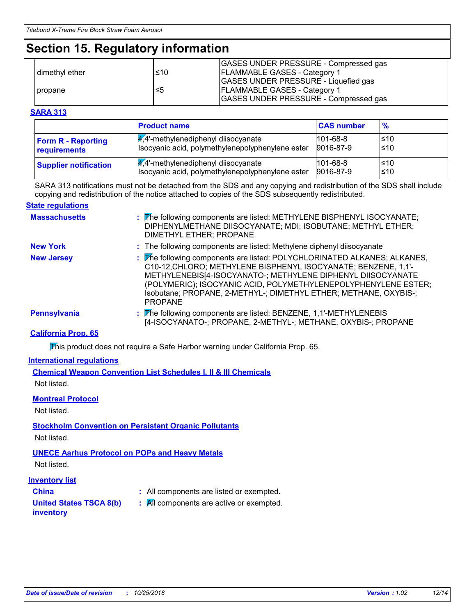## **Section 15. Regulatory information**

|                  |     | GASES UNDER PRESSURE - Compressed gas       |
|------------------|-----|---------------------------------------------|
| I dimethyl ether | ≤10 | <b>IFLAMMABLE GASES - Category 1</b>        |
|                  |     | <b>GASES UNDER PRESSURE - Liquefied gas</b> |
| <b>I</b> propane | ≤5  | <b>IFLAMMABLE GASES - Category 1</b>        |
|                  |     | GASES UNDER PRESSURE - Compressed gas       |

#### **SARA 313**

|                              | <b>Product name</b>                              | <b>CAS number</b> | $\frac{9}{6}$ |
|------------------------------|--------------------------------------------------|-------------------|---------------|
| <b>Form R - Reporting</b>    | $\frac{1}{4}$ ,4'-methylenediphenyl diisocyanate | $101 - 68 - 8$    | l≤10          |
| requirements                 | Isocyanic acid, polymethylenepolyphenylene ester | 9016-87-9         | ≤10           |
| <b>Supplier notification</b> | $\frac{q}{4}$ . methylenediphenyl diisocyanate   | $101 - 68 - 8$    | l≤10          |
|                              | Isocyanic acid, polymethylenepolyphenylene ester | 9016-87-9         | l≤10          |

SARA 313 notifications must not be detached from the SDS and any copying and redistribution of the SDS shall include copying and redistribution of the notice attached to copies of the SDS subsequently redistributed.

#### **State regulations**

| <b>Massachusetts</b> | : The following components are listed: METHYLENE BISPHENYL ISOCYANATE;<br>DIPHENYLMETHANE DIISOCYANATE; MDI; ISOBUTANE; METHYL ETHER;<br>DIMETHYL ETHER; PROPANE                                                                                                                                                                                                  |
|----------------------|-------------------------------------------------------------------------------------------------------------------------------------------------------------------------------------------------------------------------------------------------------------------------------------------------------------------------------------------------------------------|
| <b>New York</b>      | : The following components are listed: Methylene diphenyl diisocyanate                                                                                                                                                                                                                                                                                            |
| <b>New Jersey</b>    | : The following components are listed: POLYCHLORINATED ALKANES; ALKANES,<br>C10-12, CHLORO; METHYLENE BISPHENYL ISOCYANATE; BENZENE, 1,1'-<br>METHYLENEBIS[4-ISOCYANATO-; METHYLENE DIPHENYL DIISOCYANATE<br>(POLYMERIC); ISOCYANIC ACID, POLYMETHYLENEPOLYPHENYLENE ESTER;<br>Isobutane; PROPANE, 2-METHYL-; DIMETHYL ETHER; METHANE, OXYBIS-;<br><b>PROPANE</b> |
| <b>Pennsylvania</b>  | : The following components are listed: BENZENE, 1,1'-METHYLENEBIS<br>[4-ISOCYANATO-; PROPANE, 2-METHYL-; METHANE, OXYBIS-; PROPANE                                                                                                                                                                                                                                |

### **California Prop. 65**

This product does not require a Safe Harbor warning under California Prop. 65.

#### **International regulations**

**Chemical Weapon Convention List Schedules I, II & III Chemicals** Not listed.

#### **Montreal Protocol**

Not listed.

### **Stockholm Convention on Persistent Organic Pollutants**

Not listed.

### **UNECE Aarhus Protocol on POPs and Heavy Metals**

Not listed.

#### **Inventory list**

- 
- **China :** All components are listed or exempted.
- **United States TSCA 8(b) inventory**
- **:** All components are active or exempted.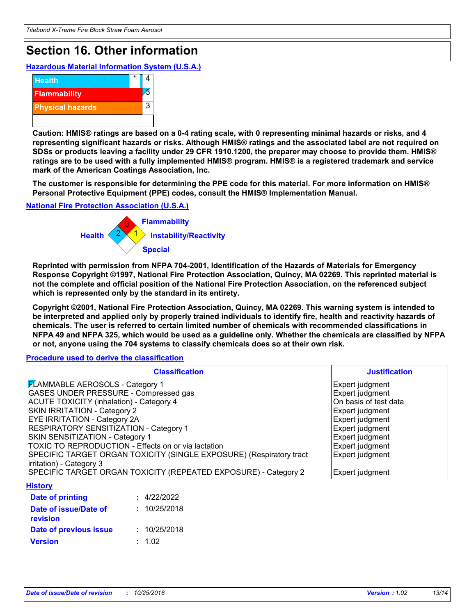## **Section 16. Other information**

**Hazardous Material Information System (U.S.A.)**



**Caution: HMIS® ratings are based on a 0-4 rating scale, with 0 representing minimal hazards or risks, and 4 representing significant hazards or risks. Although HMIS® ratings and the associated label are not required on SDSs or products leaving a facility under 29 CFR 1910.1200, the preparer may choose to provide them. HMIS® ratings are to be used with a fully implemented HMIS® program. HMIS® is a registered trademark and service mark of the American Coatings Association, Inc.**

**The customer is responsible for determining the PPE code for this material. For more information on HMIS® Personal Protective Equipment (PPE) codes, consult the HMIS® Implementation Manual.**

**National Fire Protection Association (U.S.A.)**



**Reprinted with permission from NFPA 704-2001, Identification of the Hazards of Materials for Emergency Response Copyright ©1997, National Fire Protection Association, Quincy, MA 02269. This reprinted material is not the complete and official position of the National Fire Protection Association, on the referenced subject which is represented only by the standard in its entirety.**

**Copyright ©2001, National Fire Protection Association, Quincy, MA 02269. This warning system is intended to be interpreted and applied only by properly trained individuals to identify fire, health and reactivity hazards of chemicals. The user is referred to certain limited number of chemicals with recommended classifications in NFPA 49 and NFPA 325, which would be used as a guideline only. Whether the chemicals are classified by NFPA or not, anyone using the 704 systems to classify chemicals does so at their own risk.**

**Procedure used to derive the classification**

| <b>Classification</b>                                               | <b>Justification</b>  |
|---------------------------------------------------------------------|-----------------------|
| <b>FLAMMABLE AEROSOLS - Category 1</b>                              | Expert judgment       |
| GASES UNDER PRESSURE - Compressed gas                               | Expert judgment       |
| <b>ACUTE TOXICITY (inhalation) - Category 4</b>                     | On basis of test data |
| SKIN IRRITATION - Category 2                                        | Expert judgment       |
| EYE IRRITATION - Category 2A                                        | Expert judgment       |
| RESPIRATORY SENSITIZATION - Category 1                              | Expert judgment       |
| SKIN SENSITIZATION - Category 1                                     | Expert judgment       |
| TOXIC TO REPRODUCTION - Effects on or via lactation                 | Expert judgment       |
| SPECIFIC TARGET ORGAN TOXICITY (SINGLE EXPOSURE) (Respiratory tract | Expert judgment       |
| irritation) - Category 3                                            |                       |
| SPECIFIC TARGET ORGAN TOXICITY (REPEATED EXPOSURE) - Category 2     | Expert judgment       |
| <b>History</b>                                                      |                       |
| : 4/22/2022<br>Date of printing                                     |                       |
| : 10/25/2018<br>Date of issue/Date of<br>revision                   |                       |

**Version Date of previous issue :** 1.02 **:** 10/25/2018